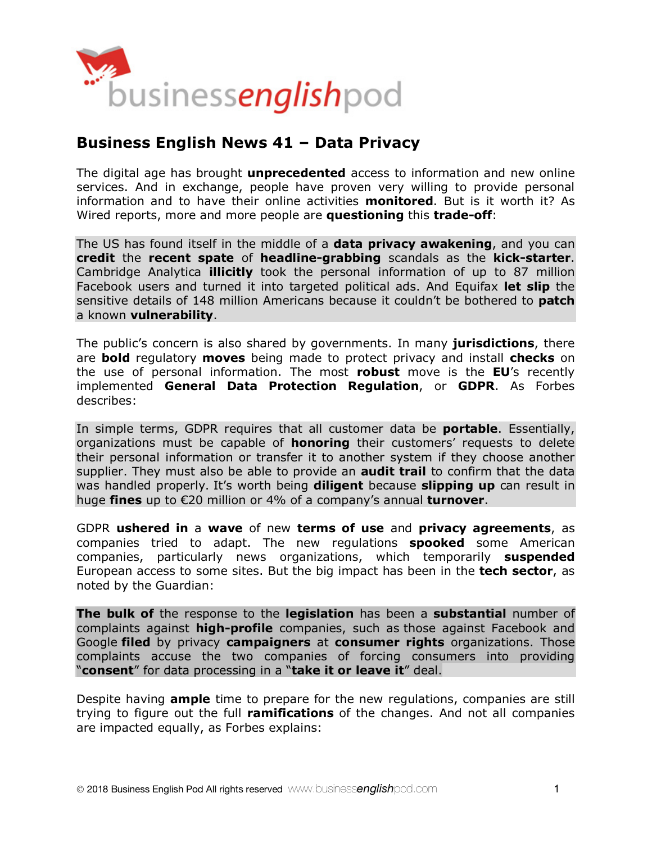

# **Business English News 41 – Data Privacy**

The digital age has brought **unprecedented** access to information and new online services. And in exchange, people have proven very willing to provide personal information and to have their online activities **monitored**. But is it worth it? As Wired reports, more and more people are **questioning** this **trade-off**:

The US has found itself in the middle of a **data privacy awakening**, and you can **credit** the **recent spate** of **headline-grabbing** scandals as the **kick-starter**. Cambridge Analytica **illicitly** took the personal information of up to 87 million Facebook users and turned it into targeted political ads. And Equifax **let slip** the sensitive details of 148 million Americans because it couldn't be bothered to **patch** a known **vulnerability**.

The public's concern is also shared by governments. In many **jurisdictions**, there are **bold** regulatory **moves** being made to protect privacy and install **checks** on the use of personal information. The most **robust** move is the **EU**'s recently implemented **General Data Protection Regulation**, or **GDPR**. As Forbes describes:

In simple terms, GDPR requires that all customer data be **portable**. Essentially, organizations must be capable of **honoring** their customers' requests to delete their personal information or transfer it to another system if they choose another supplier. They must also be able to provide an **audit trail** to confirm that the data was handled properly. It's worth being **diligent** because **slipping up** can result in huge **fines** up to €20 million or 4% of a company's annual **turnover**.

GDPR **ushered in** a **wave** of new **terms of use** and **privacy agreements**, as companies tried to adapt. The new regulations **spooked** some American companies, particularly news organizations, which temporarily **suspended** European access to some sites. But the big impact has been in the **tech sector**, as noted by the Guardian:

**The bulk of** the response to the **legislation** has been a **substantial** number of complaints against **high-profile** companies, such as those against Facebook and Google **filed** by privacy **campaigners** at **consumer rights** organizations. Those complaints accuse the two companies of forcing consumers into providing "**consent**" for data processing in a "**take it or leave it**" deal.

Despite having **ample** time to prepare for the new regulations, companies are still trying to figure out the full **ramifications** of the changes. And not all companies are impacted equally, as Forbes explains: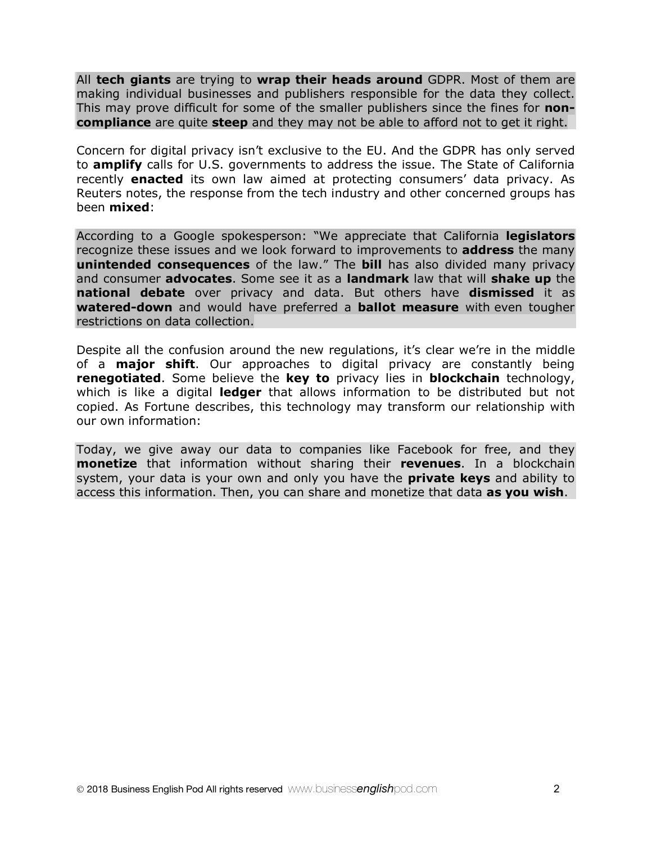All **tech giants** are trying to **wrap their heads around** GDPR. Most of them are making individual businesses and publishers responsible for the data they collect. This may prove difficult for some of the smaller publishers since the fines for **noncompliance** are quite **steep** and they may not be able to afford not to get it right.

Concern for digital privacy isn't exclusive to the EU. And the GDPR has only served to **amplify** calls for U.S. governments to address the issue. The State of California recently **enacted** its own law aimed at protecting consumers' data privacy. As Reuters notes, the response from the tech industry and other concerned groups has been **mixed**:

According to a Google spokesperson: "We appreciate that California **legislators** recognize these issues and we look forward to improvements to **address** the many **unintended consequences** of the law." The **bill** has also divided many privacy and consumer **advocates**. Some see it as a **landmark** law that will **shake up** the **national debate** over privacy and data. But others have **dismissed** it as **watered-down** and would have preferred a **ballot measure** with even tougher restrictions on data collection.

Despite all the confusion around the new regulations, it's clear we're in the middle of a **major shift**. Our approaches to digital privacy are constantly being **renegotiated**. Some believe the **key to** privacy lies in **blockchain** technology, which is like a digital **ledger** that allows information to be distributed but not copied. As Fortune describes, this technology may transform our relationship with our own information:

Today, we give away our data to companies like Facebook for free, and they **monetize** that information without sharing their **revenues**. In a blockchain system, your data is your own and only you have the **private keys** and ability to access this information. Then, you can share and monetize that data **as you wish**.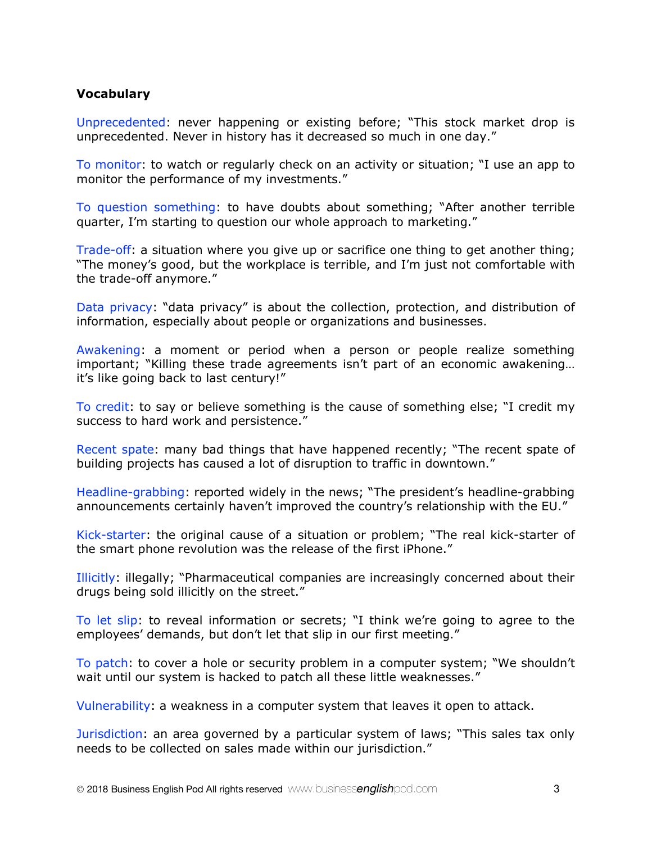#### **Vocabulary**

Unprecedented: never happening or existing before; "This stock market drop is unprecedented. Never in history has it decreased so much in one day."

To monitor: to watch or regularly check on an activity or situation; "I use an app to monitor the performance of my investments."

To question something: to have doubts about something; "After another terrible quarter, I'm starting to question our whole approach to marketing."

Trade-off: a situation where you give up or sacrifice one thing to get another thing; "The money's good, but the workplace is terrible, and I'm just not comfortable with the trade-off anymore."

Data privacy: "data privacy" is about the collection, protection, and distribution of information, especially about people or organizations and businesses.

Awakening: a moment or period when a person or people realize something important; "Killing these trade agreements isn't part of an economic awakening… it's like going back to last century!"

To credit: to say or believe something is the cause of something else; "I credit my success to hard work and persistence."

Recent spate: many bad things that have happened recently; "The recent spate of building projects has caused a lot of disruption to traffic in downtown."

Headline-grabbing: reported widely in the news; "The president's headline-grabbing announcements certainly haven't improved the country's relationship with the EU."

Kick-starter: the original cause of a situation or problem; "The real kick-starter of the smart phone revolution was the release of the first iPhone."

Illicitly: illegally; "Pharmaceutical companies are increasingly concerned about their drugs being sold illicitly on the street."

To let slip: to reveal information or secrets; "I think we're going to agree to the employees' demands, but don't let that slip in our first meeting."

To patch: to cover a hole or security problem in a computer system; "We shouldn't wait until our system is hacked to patch all these little weaknesses."

Vulnerability: a weakness in a computer system that leaves it open to attack.

Jurisdiction: an area governed by a particular system of laws; "This sales tax only needs to be collected on sales made within our jurisdiction."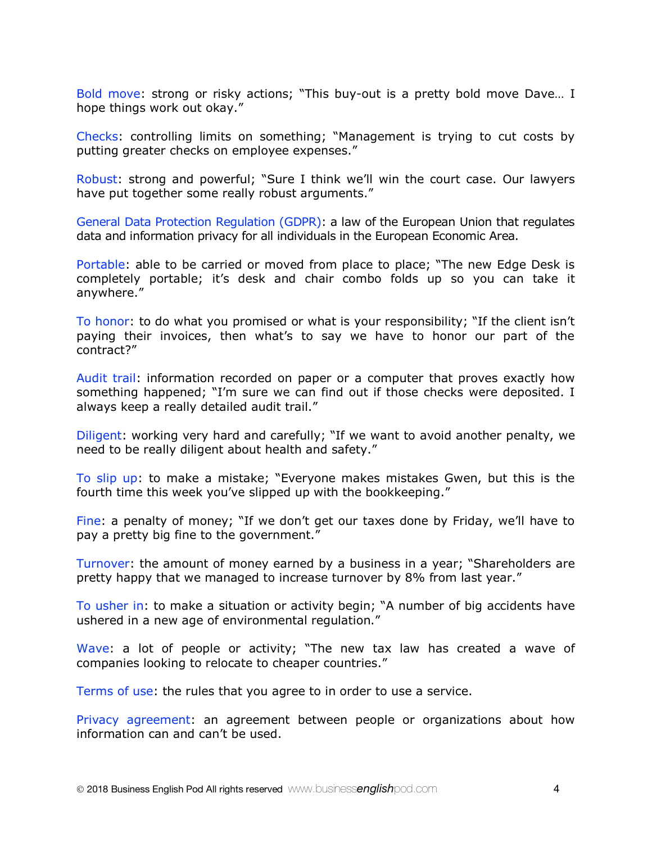Bold move: strong or risky actions; "This buy-out is a pretty bold move Dave… I hope things work out okay."

Checks: controlling limits on something; "Management is trying to cut costs by putting greater checks on employee expenses."

Robust: strong and powerful; "Sure I think we'll win the court case. Our lawyers have put together some really robust arguments."

General Data Protection Regulation (GDPR): a law of the European Union that regulates data and information privacy for all individuals in the European Economic Area.

Portable: able to be carried or moved from place to place; "The new Edge Desk is completely portable; it's desk and chair combo folds up so you can take it anywhere."

To honor: to do what you promised or what is your responsibility; "If the client isn't paying their invoices, then what's to say we have to honor our part of the contract?"

Audit trail: information recorded on paper or a computer that proves exactly how something happened; "I'm sure we can find out if those checks were deposited. I always keep a really detailed audit trail."

Diligent: working very hard and carefully; "If we want to avoid another penalty, we need to be really diligent about health and safety."

To slip up: to make a mistake; "Everyone makes mistakes Gwen, but this is the fourth time this week you've slipped up with the bookkeeping."

Fine: a penalty of money; "If we don't get our taxes done by Friday, we'll have to pay a pretty big fine to the government."

Turnover: the amount of money earned by a business in a year; "Shareholders are pretty happy that we managed to increase turnover by 8% from last year."

To usher in: to make a situation or activity begin; "A number of big accidents have ushered in a new age of environmental regulation."

Wave: a lot of people or activity; "The new tax law has created a wave of companies looking to relocate to cheaper countries."

Terms of use: the rules that you agree to in order to use a service.

Privacy agreement: an agreement between people or organizations about how information can and can't be used.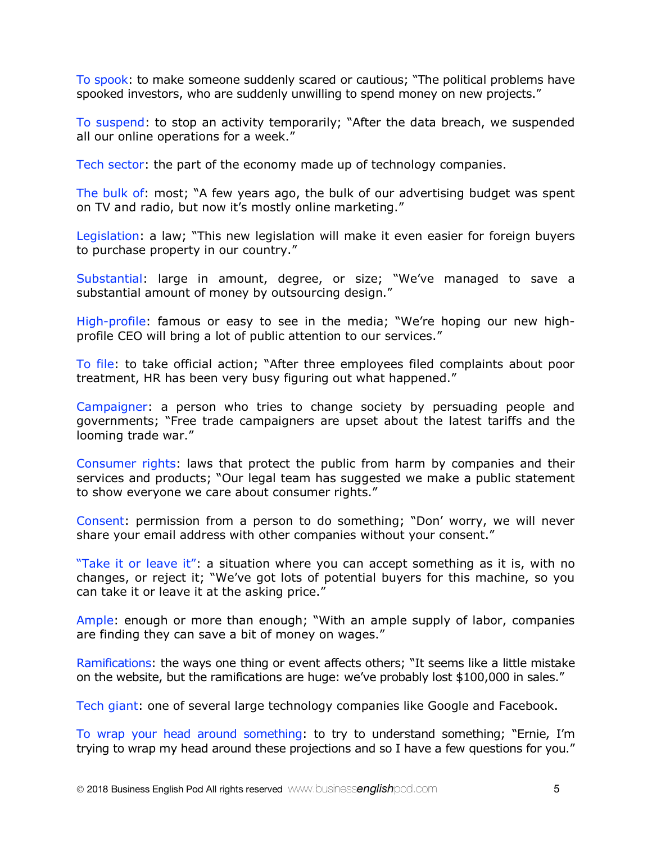To spook: to make someone suddenly scared or cautious; "The political problems have spooked investors, who are suddenly unwilling to spend money on new projects."

To suspend: to stop an activity temporarily; "After the data breach, we suspended all our online operations for a week."

Tech sector: the part of the economy made up of technology companies.

The bulk of: most; "A few years ago, the bulk of our advertising budget was spent on TV and radio, but now it's mostly online marketing."

Legislation: a law; "This new legislation will make it even easier for foreign buyers to purchase property in our country."

Substantial: large in amount, degree, or size; "We've managed to save a substantial amount of money by outsourcing design."

High-profile: famous or easy to see in the media; "We're hoping our new highprofile CEO will bring a lot of public attention to our services."

To file: to take official action; "After three employees filed complaints about poor treatment, HR has been very busy figuring out what happened."

Campaigner: a person who tries to change society by persuading people and governments; "Free trade campaigners are upset about the latest tariffs and the looming trade war."

Consumer rights: laws that protect the public from harm by companies and their services and products; "Our legal team has suggested we make a public statement to show everyone we care about consumer rights."

Consent: permission from a person to do something; "Don' worry, we will never share your email address with other companies without your consent."

"Take it or leave it": a situation where you can accept something as it is, with no changes, or reject it; "We've got lots of potential buyers for this machine, so you can take it or leave it at the asking price."

Ample: enough or more than enough; "With an ample supply of labor, companies are finding they can save a bit of money on wages."

Ramifications: the ways one thing or event affects others; "It seems like a little mistake on the website, but the ramifications are huge: we've probably lost \$100,000 in sales."

Tech giant: one of several large technology companies like Google and Facebook.

To wrap your head around something: to try to understand something; "Ernie, I'm trying to wrap my head around these projections and so I have a few questions for you."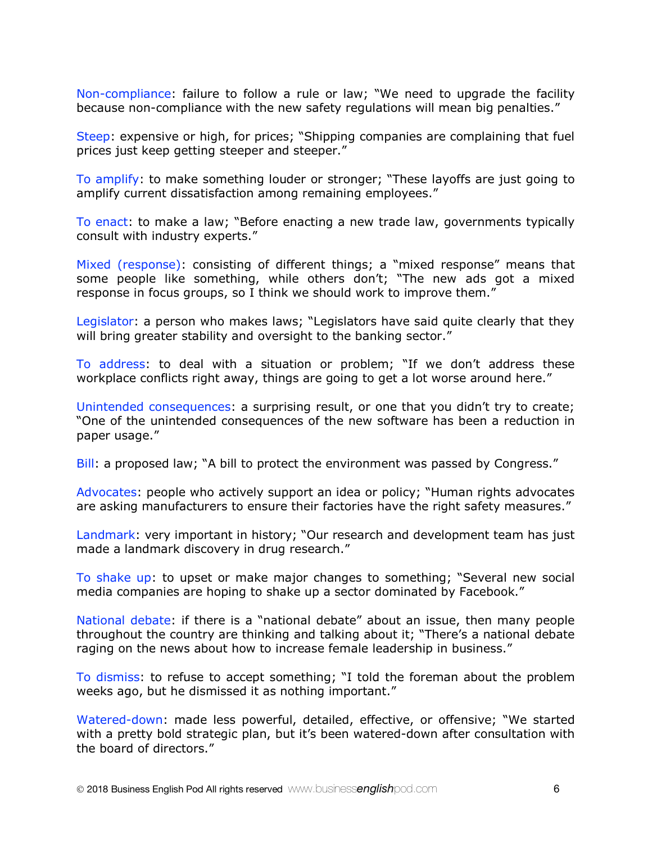Non-compliance: failure to follow a rule or law; "We need to upgrade the facility because non-compliance with the new safety regulations will mean big penalties."

Steep: expensive or high, for prices; "Shipping companies are complaining that fuel prices just keep getting steeper and steeper."

To amplify: to make something louder or stronger; "These layoffs are just going to amplify current dissatisfaction among remaining employees."

To enact: to make a law; "Before enacting a new trade law, governments typically consult with industry experts."

Mixed (response): consisting of different things; a "mixed response" means that some people like something, while others don't; "The new ads got a mixed response in focus groups, so I think we should work to improve them."

Legislator: a person who makes laws; "Legislators have said quite clearly that they will bring greater stability and oversight to the banking sector."

To address: to deal with a situation or problem; "If we don't address these workplace conflicts right away, things are going to get a lot worse around here."

Unintended consequences: a surprising result, or one that you didn't try to create; "One of the unintended consequences of the new software has been a reduction in paper usage."

Bill: a proposed law; "A bill to protect the environment was passed by Congress."

Advocates: people who actively support an idea or policy; "Human rights advocates are asking manufacturers to ensure their factories have the right safety measures."

Landmark: very important in history; "Our research and development team has just made a landmark discovery in drug research."

To shake up: to upset or make major changes to something; "Several new social media companies are hoping to shake up a sector dominated by Facebook."

National debate: if there is a "national debate" about an issue, then many people throughout the country are thinking and talking about it; "There's a national debate raging on the news about how to increase female leadership in business."

To dismiss: to refuse to accept something; "I told the foreman about the problem weeks ago, but he dismissed it as nothing important."

Watered-down: made less powerful, detailed, effective, or offensive; "We started with a pretty bold strategic plan, but it's been watered-down after consultation with the board of directors."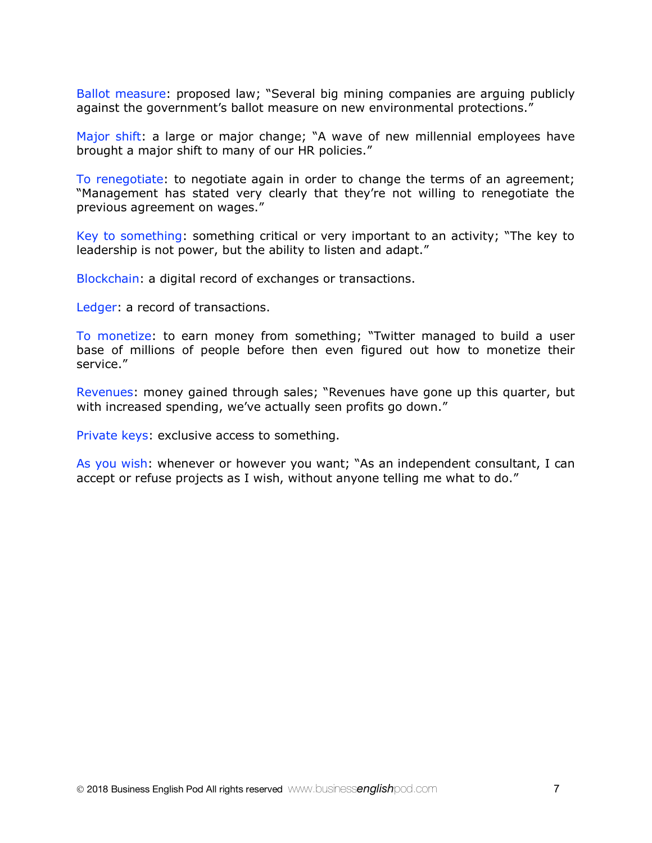Ballot measure: proposed law; "Several big mining companies are arguing publicly against the government's ballot measure on new environmental protections."

Major shift: a large or major change; "A wave of new millennial employees have brought a major shift to many of our HR policies."

To renegotiate: to negotiate again in order to change the terms of an agreement; "Management has stated very clearly that they're not willing to renegotiate the previous agreement on wages."

Key to something: something critical or very important to an activity; "The key to leadership is not power, but the ability to listen and adapt."

Blockchain: a digital record of exchanges or transactions.

Ledger: a record of transactions.

To monetize: to earn money from something; "Twitter managed to build a user base of millions of people before then even figured out how to monetize their service."

Revenues: money gained through sales; "Revenues have gone up this quarter, but with increased spending, we've actually seen profits go down."

Private keys: exclusive access to something.

As you wish: whenever or however you want; "As an independent consultant, I can accept or refuse projects as I wish, without anyone telling me what to do."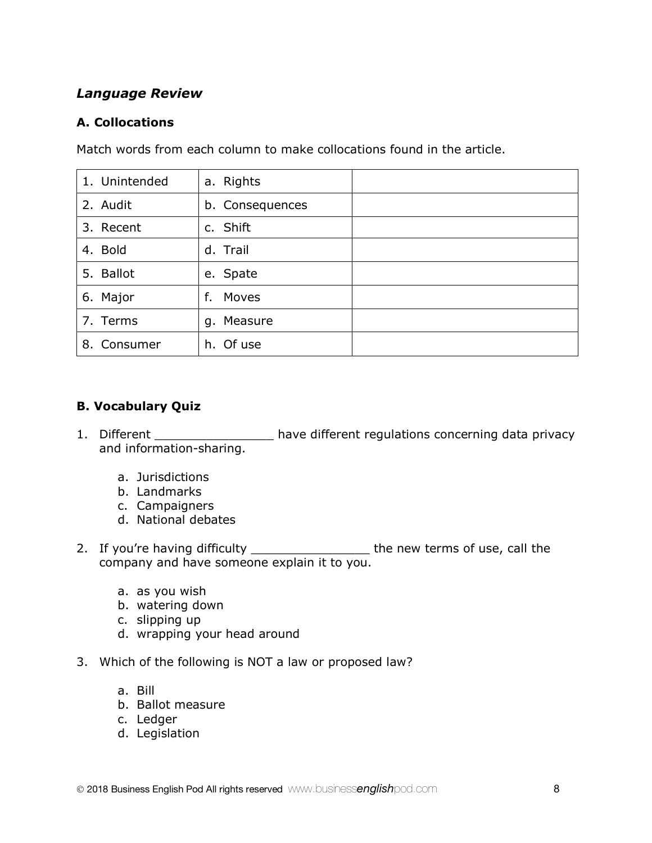## *Language Review*

### **A. Collocations**

Match words from each column to make collocations found in the article.

| 1. Unintended | a. Rights       |  |
|---------------|-----------------|--|
| 2. Audit      | b. Consequences |  |
| 3. Recent     | c. Shift        |  |
| 4. Bold       | d. Trail        |  |
| 5. Ballot     | e. Spate        |  |
| 6. Major      | Moves<br>f.     |  |
| 7. Terms      | g. Measure      |  |
| 8. Consumer   | h. Of use       |  |

# **B. Vocabulary Quiz**

- 1. Different \_\_\_\_\_\_\_\_\_\_\_\_\_\_\_\_\_\_ have different regulations concerning data privacy and information-sharing.
	- a. Jurisdictions
	- b. Landmarks
	- c. Campaigners
	- d. National debates
- 2. If you're having difficulty \_\_\_\_\_\_\_\_\_\_\_\_\_\_\_\_\_\_\_\_ the new terms of use, call the company and have someone explain it to you.
	- a. as you wish
	- b. watering down
	- c. slipping up
	- d. wrapping your head around
- 3. Which of the following is NOT a law or proposed law?
	- a. Bill
	- b. Ballot measure
	- c. Ledger
	- d. Legislation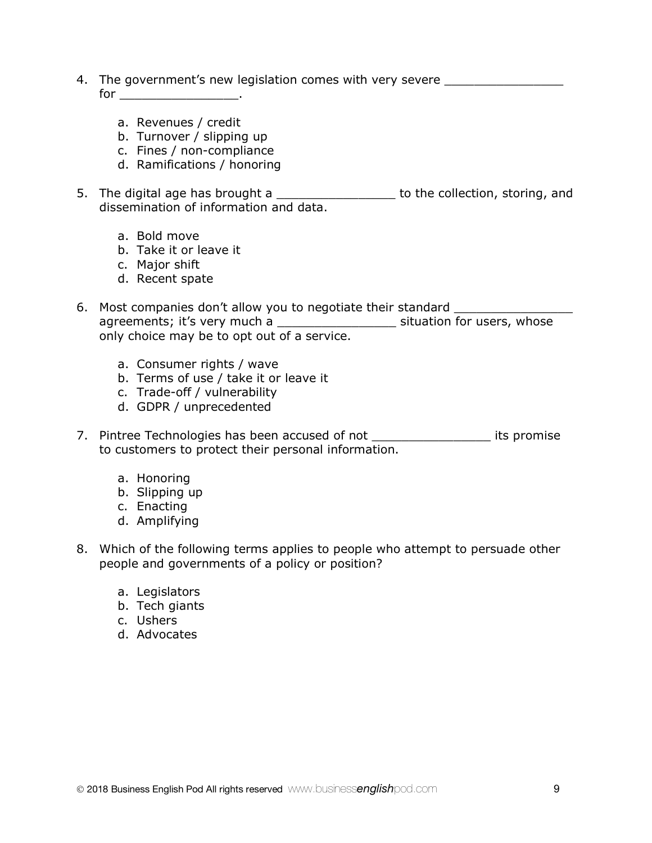- 4. The government's new legislation comes with very severe \_\_\_\_\_\_\_\_\_\_\_\_\_\_\_\_\_\_\_\_\_  $\quad \text{for} \quad \text{or} \quad \text{or} \quad \text{or} \quad \text{or} \quad \text{or} \quad \text{or} \quad \text{or} \quad \text{or} \quad \text{or} \quad \text{or} \quad \text{or} \quad \text{or} \quad \text{or} \quad \text{or} \quad \text{or} \quad \text{or} \quad \text{or} \quad \text{or} \quad \text{or} \quad \text{or} \quad \text{or} \quad \text{or} \quad \text{or} \quad \text{or} \quad \text{or} \quad \text{or} \quad \text{or} \quad \text{or} \quad \text{or} \quad \text{or} \quad \$ 
	- a. Revenues / credit
	- b. Turnover / slipping up
	- c. Fines / non-compliance
	- d. Ramifications / honoring
- 5. The digital age has brought a \_\_\_\_\_\_\_\_\_\_\_\_\_\_\_\_\_\_ to the collection, storing, and dissemination of information and data.
	- a. Bold move
	- b. Take it or leave it
	- c. Major shift
	- d. Recent spate
- 6. Most companies don't allow you to negotiate their standard \_\_\_\_\_\_\_\_\_\_\_\_\_\_\_\_\_\_ agreements; it's very much a \_\_\_\_\_\_\_\_\_\_\_\_\_\_\_\_\_\_\_\_\_ situation for users, whose only choice may be to opt out of a service.
	- a. Consumer rights / wave
	- b. Terms of use / take it or leave it
	- c. Trade-off / vulnerability
	- d. GDPR / unprecedented
- 7. Pintree Technologies has been accused of not \_\_\_\_\_\_\_\_\_\_\_\_\_\_\_\_\_\_\_\_\_ its promise to customers to protect their personal information.
	- a. Honoring
	- b. Slipping up
	- c. Enacting
	- d. Amplifying
- 8. Which of the following terms applies to people who attempt to persuade other people and governments of a policy or position?
	- a. Legislators
	- b. Tech giants
	- c. Ushers
	- d. Advocates